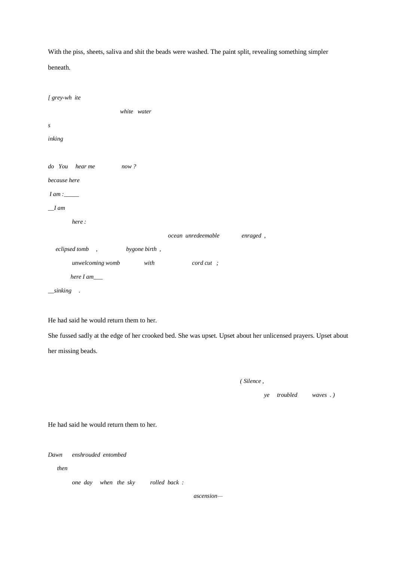With the piss, sheets, saliva and shit the beads were washed. The paint split, revealing something simpler beneath.

| [ grey-wh ite      |               |                     |          |
|--------------------|---------------|---------------------|----------|
|                    | white water   |                     |          |
| S                  |               |                     |          |
| inking             |               |                     |          |
|                    |               |                     |          |
| do You hear me     | now?          |                     |          |
| because here       |               |                     |          |
|                    |               |                     |          |
| $I$ am             |               |                     |          |
| here:              |               |                     |          |
|                    |               | ocean unredeemable  | enraged, |
| eclipsed tomb,     | bygone birth, |                     |          |
| unwelcoming womb   | with          | $\text{cord cut}$ ; |          |
| here $I$ am $\_\_$ |               |                     |          |
| $\_{sinking}$ .    |               |                     |          |

He had said he would return them to her.

She fussed sadly at the edge of her crooked bed. She was upset. Upset about her unlicensed prayers. Upset about her missing beads.

| <i>Silence</i> . |  |
|------------------|--|
|                  |  |

*ye troubled waves . )*

He had said he would return them to her.

*Dawn enshrouded entombed*

 *then* 

*one day when the sky rolled back :*

 *ascension—*